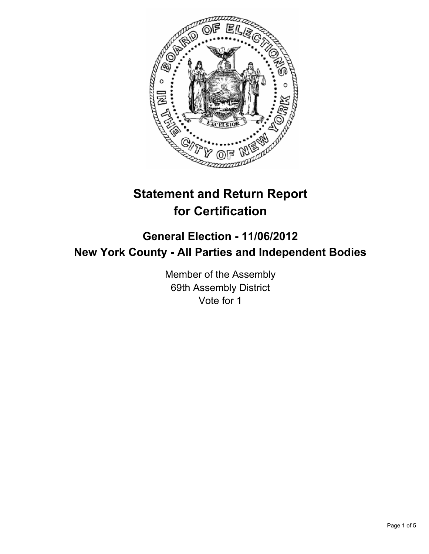

# **Statement and Return Report for Certification**

# **General Election - 11/06/2012 New York County - All Parties and Independent Bodies**

Member of the Assembly 69th Assembly District Vote for 1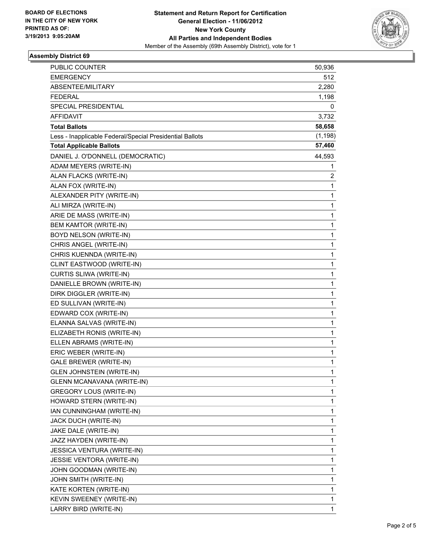

## **Assembly District 69**

| PUBLIC COUNTER                                           | 50,936       |
|----------------------------------------------------------|--------------|
| <b>EMERGENCY</b>                                         | 512          |
| ABSENTEE/MILITARY                                        | 2,280        |
| <b>FEDERAL</b>                                           | 1,198        |
| SPECIAL PRESIDENTIAL                                     | 0            |
| AFFIDAVIT                                                | 3,732        |
| <b>Total Ballots</b>                                     | 58,658       |
| Less - Inapplicable Federal/Special Presidential Ballots | (1, 198)     |
| <b>Total Applicable Ballots</b>                          | 57,460       |
| DANIEL J. O'DONNELL (DEMOCRATIC)                         | 44,593       |
| ADAM MEYERS (WRITE-IN)                                   | 1            |
| ALAN FLACKS (WRITE-IN)                                   | 2            |
| ALAN FOX (WRITE-IN)                                      | 1            |
| ALEXANDER PITY (WRITE-IN)                                | 1            |
| ALI MIRZA (WRITE-IN)                                     | 1            |
| ARIE DE MASS (WRITE-IN)                                  | 1            |
| <b>BEM KAMTOR (WRITE-IN)</b>                             | 1            |
| BOYD NELSON (WRITE-IN)                                   | 1            |
| CHRIS ANGEL (WRITE-IN)                                   | 1            |
| CHRIS KUENNDA (WRITE-IN)                                 | 1            |
| CLINT EASTWOOD (WRITE-IN)                                | 1            |
| CURTIS SLIWA (WRITE-IN)                                  | 1            |
| DANIELLE BROWN (WRITE-IN)                                | 1            |
| DIRK DIGGLER (WRITE-IN)                                  | 1            |
| ED SULLIVAN (WRITE-IN)                                   | 1            |
| EDWARD COX (WRITE-IN)                                    | 1            |
| ELANNA SALVAS (WRITE-IN)                                 | 1            |
| ELIZABETH RONIS (WRITE-IN)                               | 1            |
| ELLEN ABRAMS (WRITE-IN)                                  | 1            |
| ERIC WEBER (WRITE-IN)                                    | 1            |
| <b>GALE BREWER (WRITE-IN)</b>                            | 1            |
| <b>GLEN JOHNSTEIN (WRITE-IN)</b>                         | 1            |
| <b>GLENN MCANAVANA (WRITE-IN)</b>                        | 1            |
| <b>GREGORY LOUS (WRITE-IN)</b>                           | 1            |
| HOWARD STERN (WRITE-IN)                                  | 1            |
| IAN CUNNINGHAM (WRITE-IN)                                | 1            |
| JACK DUCH (WRITE-IN)                                     | 1            |
| JAKE DALE (WRITE-IN)                                     | 1            |
| JAZZ HAYDEN (WRITE-IN)                                   | 1            |
| JESSICA VENTURA (WRITE-IN)                               | 1            |
| JESSIE VENTORA (WRITE-IN)                                | 1            |
| JOHN GOODMAN (WRITE-IN)                                  | 1            |
| JOHN SMITH (WRITE-IN)                                    | 1            |
| KATE KORTEN (WRITE-IN)                                   | 1            |
| KEVIN SWEENEY (WRITE-IN)                                 | 1            |
| LARRY BIRD (WRITE-IN)                                    | $\mathbf{1}$ |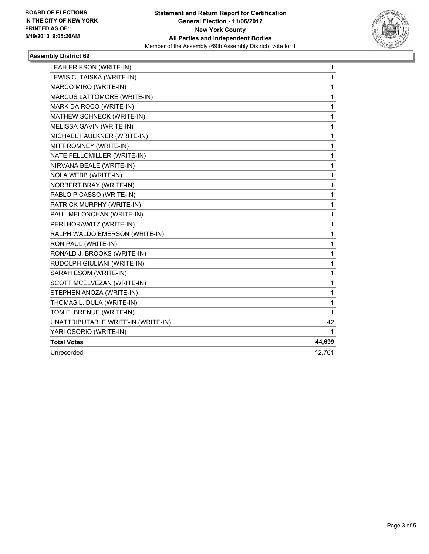

## **Assembly District 69**

| LEAH ERIKSON (WRITE-IN)            | 1      |
|------------------------------------|--------|
| LEWIS C. TAISKA (WRITE-IN)         | 1      |
| MARCO MIRO (WRITE-IN)              | 1      |
| MARCUS LATTOMORE (WRITE-IN)        | 1      |
| MARK DA ROCO (WRITE-IN)            | 1      |
| MATHEW SCHNECK (WRITE-IN)          | 1      |
| MELISSA GAVIN (WRITE-IN)           | 1      |
| MICHAEL FAULKNER (WRITE-IN)        | 1      |
| MITT ROMNEY (WRITE-IN)             | 1      |
| NATE FELLOMILLER (WRITE-IN)        | 1      |
| NIRVANA BEALE (WRITE-IN)           | 1      |
| NOLA WEBB (WRITE-IN)               | 1      |
| NORBERT BRAY (WRITE-IN)            | 1      |
| PABLO PICASSO (WRITE-IN)           | 1      |
| PATRICK MURPHY (WRITE-IN)          | 1      |
| PAUL MELONCHAN (WRITE-IN)          | 1      |
| PERI HORAWITZ (WRITE-IN)           | 1      |
| RALPH WALDO EMERSON (WRITE-IN)     | 1      |
| RON PAUL (WRITE-IN)                | 1      |
| RONALD J. BROOKS (WRITE-IN)        | 1      |
| RUDOLPH GIULIANI (WRITE-IN)        | 1      |
| SARAH ESOM (WRITE-IN)              | 1      |
| SCOTT MCELVEZAN (WRITE-IN)         | 1      |
| STEPHEN ANOZA (WRITE-IN)           | 1      |
| THOMAS L. DULA (WRITE-IN)          | 1      |
| TOM E. BRENUE (WRITE-IN)           | 1      |
| UNATTRIBUTABLE WRITE-IN (WRITE-IN) | 42     |
| YARI OSORIO (WRITE-IN)             | 1      |
| <b>Total Votes</b>                 | 44,699 |
| Unrecorded                         | 12,761 |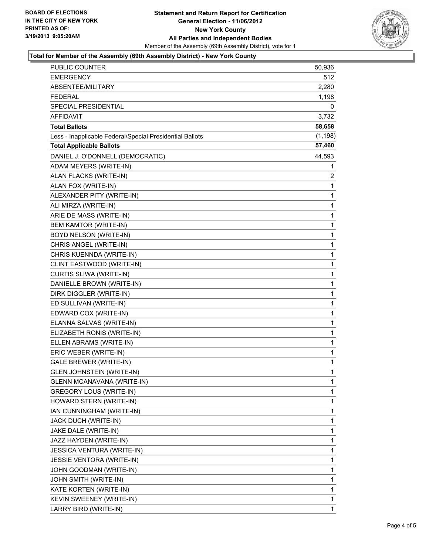

#### **Total for Member of the Assembly (69th Assembly District) - New York County**

| <b>PUBLIC COUNTER</b>                                    | 50,936   |
|----------------------------------------------------------|----------|
| <b>EMERGENCY</b>                                         | 512      |
| ABSENTEE/MILITARY                                        | 2,280    |
| <b>FEDERAL</b>                                           | 1,198    |
| SPECIAL PRESIDENTIAL                                     | 0        |
| AFFIDAVIT                                                | 3,732    |
| <b>Total Ballots</b>                                     | 58,658   |
| Less - Inapplicable Federal/Special Presidential Ballots | (1, 198) |
| <b>Total Applicable Ballots</b>                          | 57,460   |
| DANIEL J. O'DONNELL (DEMOCRATIC)                         | 44,593   |
| ADAM MEYERS (WRITE-IN)                                   | 1        |
| ALAN FLACKS (WRITE-IN)                                   | 2        |
| ALAN FOX (WRITE-IN)                                      | 1        |
| ALEXANDER PITY (WRITE-IN)                                | 1        |
| ALI MIRZA (WRITE-IN)                                     | 1        |
| ARIE DE MASS (WRITE-IN)                                  | 1        |
| BEM KAMTOR (WRITE-IN)                                    | 1        |
| BOYD NELSON (WRITE-IN)                                   | 1        |
| CHRIS ANGEL (WRITE-IN)                                   | 1        |
| CHRIS KUENNDA (WRITE-IN)                                 | 1        |
| CLINT EASTWOOD (WRITE-IN)                                | 1        |
| CURTIS SLIWA (WRITE-IN)                                  | 1        |
| DANIELLE BROWN (WRITE-IN)                                | 1        |
| DIRK DIGGLER (WRITE-IN)                                  | 1        |
| ED SULLIVAN (WRITE-IN)                                   | 1        |
| EDWARD COX (WRITE-IN)                                    | 1        |
| ELANNA SALVAS (WRITE-IN)                                 | 1        |
| ELIZABETH RONIS (WRITE-IN)                               | 1        |
| ELLEN ABRAMS (WRITE-IN)                                  | 1        |
| ERIC WEBER (WRITE-IN)                                    | 1        |
| <b>GALE BREWER (WRITE-IN)</b>                            | 1        |
| <b>GLEN JOHNSTEIN (WRITE-IN)</b>                         | 1        |
| <b>GLENN MCANAVANA (WRITE-IN)</b>                        | 1        |
| <b>GREGORY LOUS (WRITE-IN)</b>                           | 1        |
| HOWARD STERN (WRITE-IN)                                  | 1        |
| IAN CUNNINGHAM (WRITE-IN)                                | 1        |
| JACK DUCH (WRITE-IN)                                     | 1        |
| JAKE DALE (WRITE-IN)                                     | 1        |
| JAZZ HAYDEN (WRITE-IN)                                   | 1        |
| <b>JESSICA VENTURA (WRITE-IN)</b>                        | 1        |
| JESSIE VENTORA (WRITE-IN)                                | 1        |
| JOHN GOODMAN (WRITE-IN)                                  | 1        |
| JOHN SMITH (WRITE-IN)                                    | 1        |
| KATE KORTEN (WRITE-IN)                                   | 1        |
| KEVIN SWEENEY (WRITE-IN)                                 | 1        |
| LARRY BIRD (WRITE-IN)                                    | 1        |
|                                                          |          |